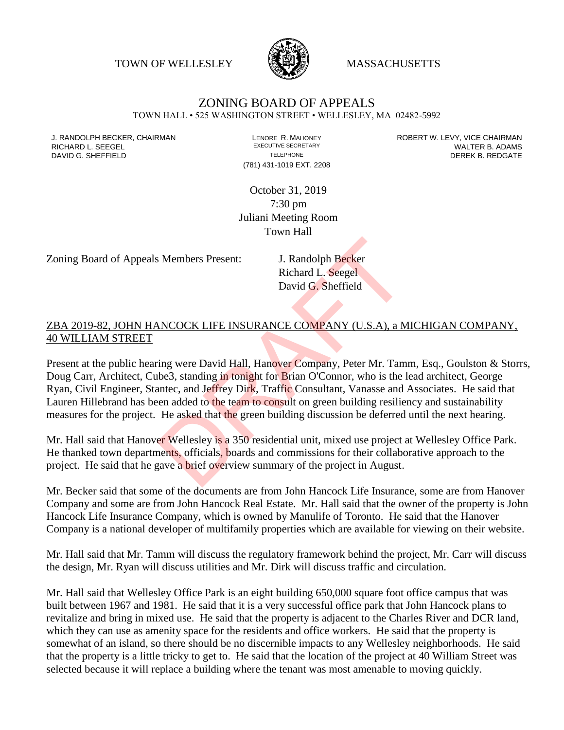TOWN OF WELLESLEY **WASSACHUSETTS** 



## ZONING BOARD OF APPEALS

TOWN HALL • 525 WASHINGTON STREET • WELLESLEY, MA 02482-5992

(781) 431-1019 EXT. 2208

J. RANDOLPH BECKER, CHAIRMAN LENORE R. MAHONEY LENORE R. MAHONEY ROBERT W. LEVY, VICE CHAIRMAN LEVER AND RICHA RICHARD L. SEEGEL **EXECUTIVE SECRETARY CONTROLL SEEGETARY** WALTER B. ADAMS DAVID G. SHEFFIELD **TELEPHONE** TELEPHONE TELEPHONE **TELEPHONE DEREK B. REDGATE** 

> October 31, 2019 7:30 pm Juliani Meeting Room Town Hall

Zoning Board of Appeals Members Present: J. Randolph Becker

Richard L. Seegel David G. Sheffield

## ZBA 2019-82, JOHN HANCOCK LIFE INSURANCE COMPANY (U.S.A), a MICHIGAN COMPANY, 40 WILLIAM STREET

Present at the public hearing were David Hall, Hanover Company, Peter Mr. Tamm, Esq., Goulston & Storrs, Doug Carr, Architect, Cube3, standing in tonight for Brian O'Connor, who is the lead architect, George Ryan, Civil Engineer, Stantec, and Jeffrey Dirk, Traffic Consultant, Vanasse and Associates. He said that Lauren Hillebrand has been added to the team to consult on green building resiliency and sustainability measures for the project. He asked that the green building discussion be deferred until the next hearing. J. Randolph Becker<br>Richard L. Seegel<br>David G. Sheffield<br>David G. Sheffield<br>NOCOCK LIFE INSURANCE COMPANY (U.S.A), a M<br>ing were David Hall, Hanover Company, Peter Mr. Tam<br>be3, standing in tonight for Brian O'Connor, who is

Mr. Hall said that Hanover Wellesley is a 350 residential unit, mixed use project at Wellesley Office Park. He thanked town departments, officials, boards and commissions for their collaborative approach to the project. He said that he gave a brief overview summary of the project in August.

Mr. Becker said that some of the documents are from John Hancock Life Insurance, some are from Hanover Company and some are from John Hancock Real Estate. Mr. Hall said that the owner of the property is John Hancock Life Insurance Company, which is owned by Manulife of Toronto. He said that the Hanover Company is a national developer of multifamily properties which are available for viewing on their website.

Mr. Hall said that Mr. Tamm will discuss the regulatory framework behind the project, Mr. Carr will discuss the design, Mr. Ryan will discuss utilities and Mr. Dirk will discuss traffic and circulation.

Mr. Hall said that Wellesley Office Park is an eight building 650,000 square foot office campus that was built between 1967 and 1981. He said that it is a very successful office park that John Hancock plans to revitalize and bring in mixed use. He said that the property is adjacent to the Charles River and DCR land, which they can use as amenity space for the residents and office workers. He said that the property is somewhat of an island, so there should be no discernible impacts to any Wellesley neighborhoods. He said that the property is a little tricky to get to. He said that the location of the project at 40 William Street was selected because it will replace a building where the tenant was most amenable to moving quickly.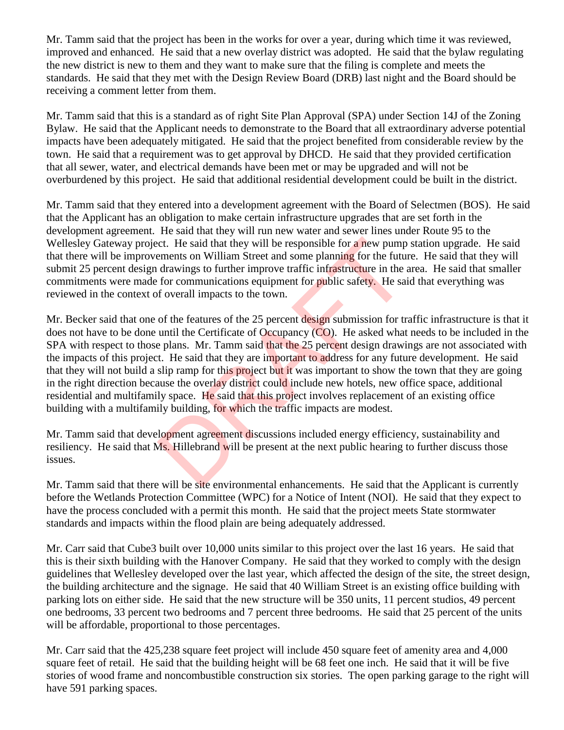Mr. Tamm said that the project has been in the works for over a year, during which time it was reviewed, improved and enhanced. He said that a new overlay district was adopted. He said that the bylaw regulating the new district is new to them and they want to make sure that the filing is complete and meets the standards. He said that they met with the Design Review Board (DRB) last night and the Board should be receiving a comment letter from them.

Mr. Tamm said that this is a standard as of right Site Plan Approval (SPA) under Section 14J of the Zoning Bylaw. He said that the Applicant needs to demonstrate to the Board that all extraordinary adverse potential impacts have been adequately mitigated. He said that the project benefited from considerable review by the town. He said that a requirement was to get approval by DHCD. He said that they provided certification that all sewer, water, and electrical demands have been met or may be upgraded and will not be overburdened by this project. He said that additional residential development could be built in the district.

Mr. Tamm said that they entered into a development agreement with the Board of Selectmen (BOS). He said that the Applicant has an obligation to make certain infrastructure upgrades that are set forth in the development agreement. He said that they will run new water and sewer lines under Route 95 to the Wellesley Gateway project. He said that they will be responsible for a new pump station upgrade. He said that there will be improvements on William Street and some planning for the future. He said that they will submit 25 percent design drawings to further improve traffic infrastructure in the area. He said that smaller commitments were made for communications equipment for public safety. He said that everything was reviewed in the context of overall impacts to the town.

Mr. Becker said that one of the features of the 25 percent design submission for traffic infrastructure is that it does not have to be done until the Certificate of Occupancy (CO). He asked what needs to be included in the SPA with respect to those plans. Mr. Tamm said that the 25 percent design drawings are not associated with the impacts of this project. He said that they are important to address for any future development. He said that they will not build a slip ramp for this project but it was important to show the town that they are going in the right direction because the overlay district could include new hotels, new office space, additional residential and multifamily space. He said that this project involves replacement of an existing office building with a multifamily building, for which the traffic impacts are modest. incentively will be responsible for a new pump<br>ements on William Street and some planning for the future<br>drawings to further improve traffic infrastructure in the to<br>for communications equipment for public safety. He said<br>

Mr. Tamm said that development agreement discussions included energy efficiency, sustainability and resiliency. He said that Ms. Hillebrand will be present at the next public hearing to further discuss those issues.

Mr. Tamm said that there will be site environmental enhancements. He said that the Applicant is currently before the Wetlands Protection Committee (WPC) for a Notice of Intent (NOI). He said that they expect to have the process concluded with a permit this month. He said that the project meets State stormwater standards and impacts within the flood plain are being adequately addressed.

Mr. Carr said that Cube3 built over 10,000 units similar to this project over the last 16 years. He said that this is their sixth building with the Hanover Company. He said that they worked to comply with the design guidelines that Wellesley developed over the last year, which affected the design of the site, the street design, the building architecture and the signage. He said that 40 William Street is an existing office building with parking lots on either side. He said that the new structure will be 350 units, 11 percent studios, 49 percent one bedrooms, 33 percent two bedrooms and 7 percent three bedrooms. He said that 25 percent of the units will be affordable, proportional to those percentages.

Mr. Carr said that the 425,238 square feet project will include 450 square feet of amenity area and 4,000 square feet of retail. He said that the building height will be 68 feet one inch. He said that it will be five stories of wood frame and noncombustible construction six stories. The open parking garage to the right will have 591 parking spaces.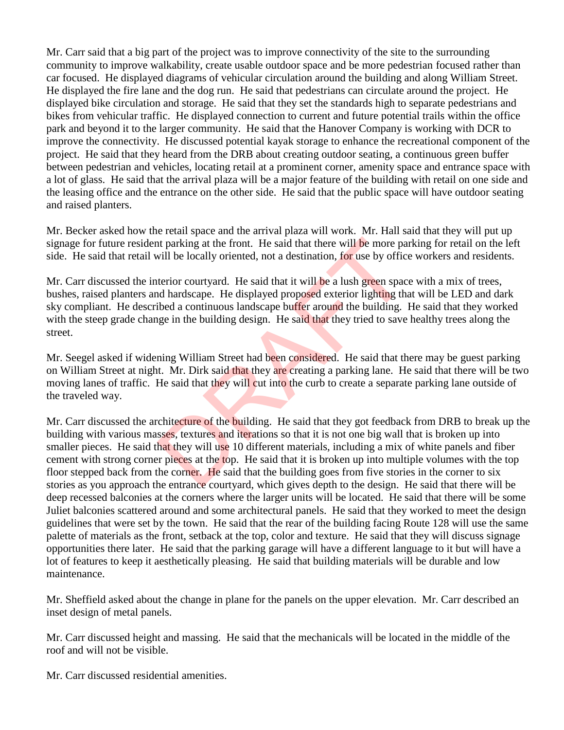Mr. Carr said that a big part of the project was to improve connectivity of the site to the surrounding community to improve walkability, create usable outdoor space and be more pedestrian focused rather than car focused. He displayed diagrams of vehicular circulation around the building and along William Street. He displayed the fire lane and the dog run. He said that pedestrians can circulate around the project. He displayed bike circulation and storage. He said that they set the standards high to separate pedestrians and bikes from vehicular traffic. He displayed connection to current and future potential trails within the office park and beyond it to the larger community. He said that the Hanover Company is working with DCR to improve the connectivity. He discussed potential kayak storage to enhance the recreational component of the project. He said that they heard from the DRB about creating outdoor seating, a continuous green buffer between pedestrian and vehicles, locating retail at a prominent corner, amenity space and entrance space with a lot of glass. He said that the arrival plaza will be a major feature of the building with retail on one side and the leasing office and the entrance on the other side. He said that the public space will have outdoor seating and raised planters.

Mr. Becker asked how the retail space and the arrival plaza will work. Mr. Hall said that they will put up signage for future resident parking at the front. He said that there will be more parking for retail on the left side. He said that retail will be locally oriented, not a destination, for use by office workers and residents.

Mr. Carr discussed the interior courtyard. He said that it will be a lush green space with a mix of trees, bushes, raised planters and hardscape. He displayed proposed exterior lighting that will be LED and dark sky compliant. He described a continuous landscape buffer around the building. He said that they worked with the steep grade change in the building design. He said that they tried to save healthy trees along the street.

Mr. Seegel asked if widening William Street had been considered. He said that there may be guest parking on William Street at night. Mr. Dirk said that they are creating a parking lane. He said that there will be two moving lanes of traffic. He said that they will cut into the curb to create a separate parking lane outside of the traveled way.

Mr. Carr discussed the architecture of the building. He said that they got feedback from DRB to break up the building with various masses, textures and iterations so that it is not one big wall that is broken up into smaller pieces. He said that they will use 10 different materials, including a mix of white panels and fiber cement with strong corner pieces at the top. He said that it is broken up into multiple volumes with the top floor stepped back from the corner. He said that the building goes from five stories in the corner to six stories as you approach the entrance courtyard, which gives depth to the design. He said that there will be deep recessed balconies at the corners where the larger units will be located. He said that there will be some Juliet balconies scattered around and some architectural panels. He said that they worked to meet the design guidelines that were set by the town. He said that the rear of the building facing Route 128 will use the same palette of materials as the front, setback at the top, color and texture. He said that they will discuss signage opportunities there later. He said that the parking garage will have a different language to it but will have a lot of features to keep it aesthetically pleasing. He said that building materials will be durable and low maintenance. It parking at the front. He said that there will be more pa<br>will be locally oriented, not a destination, for use by offic<br>terior courtyard. He said that it will be a lush green space<br>of hardscape. He displayed proposed ext

Mr. Sheffield asked about the change in plane for the panels on the upper elevation. Mr. Carr described an inset design of metal panels.

Mr. Carr discussed height and massing. He said that the mechanicals will be located in the middle of the roof and will not be visible.

Mr. Carr discussed residential amenities.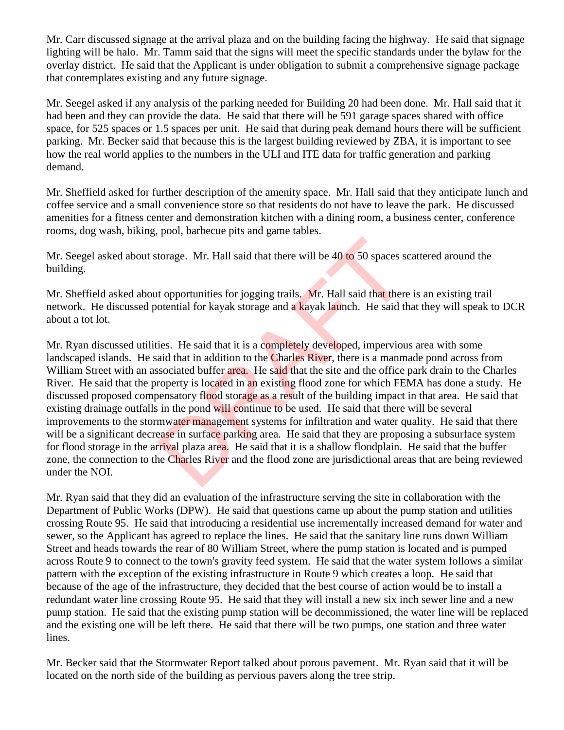Mr. Carr discussed signage at the arrival plaza and on the building facing the highway. He said that signage lighting will be halo. Mr. Tamm said that the signs will meet the specific standards under the bylaw for the overlay district. He said that the Applicant is under obligation to submit a comprehensive signage package that contemplates existing and any future signage.

Mr. Seegel asked if any analysis of the parking needed for Building 20 had been done. Mr. Hall said that it had been and they can provide the data. He said that there will be 591 garage spaces shared with office space, for 525 spaces or 1.5 spaces per unit. He said that during peak demand hours there will be sufficient parking. Mr. Becker said that because this is the largest building reviewed by ZBA, it is important to see how the real world applies to the numbers in the ULI and ITE data for traffic generation and parking demand.

Mr. Sheffield asked for further description of the amenity space. Mr. Hall said that they anticipate lunch and coffee service and a small convenience store so that residents do not have to leave the park. He discussed amenities for a fitness center and demonstration kitchen with a dining room, a business center, conference rooms, dog wash, biking, pool, barbecue pits and game tables.

Mr. Seegel asked about storage. Mr. Hall said that there will be 40 to 50 spaces scattered around the building.

Mr. Sheffield asked about opportunities for jogging trails. Mr. Hall said that there is an existing trail network. He discussed potential for kayak storage and a kayak launch. He said that they will speak to DCR about a tot lot.

Mr. Ryan discussed utilities. He said that it is a completely developed, impervious area with some landscaped islands. He said that in addition to the Charles River, there is a manmade pond across from William Street with an associated buffer area. He said that the site and the office park drain to the Charles River. He said that the property is located in an existing flood zone for which FEMA has done a study. He discussed proposed compensatory flood storage as a result of the building impact in that area. He said that existing drainage outfalls in the pond will continue to be used. He said that there will be several improvements to the stormwater management systems for infiltration and water quality. He said that there will be a significant decrease in surface parking area. He said that they are proposing a subsurface system for flood storage in the arrival plaza area. He said that it is a shallow floodplain. He said that the buffer zone, the connection to the Charles River and the flood zone are jurisdictional areas that are being reviewed under the NOI. torage. Mr. Hall said that there will be 40 to 50 spaces so<br>to topportunities for jogging trails. Mr. Hall said that there<br>otential for kayak storage and a kayak launch. He said th<br>ies. He said that it is a completely deve

Mr. Ryan said that they did an evaluation of the infrastructure serving the site in collaboration with the Department of Public Works (DPW). He said that questions came up about the pump station and utilities crossing Route 95. He said that introducing a residential use incrementally increased demand for water and sewer, so the Applicant has agreed to replace the lines. He said that the sanitary line runs down William Street and heads towards the rear of 80 William Street, where the pump station is located and is pumped across Route 9 to connect to the town's gravity feed system. He said that the water system follows a similar pattern with the exception of the existing infrastructure in Route 9 which creates a loop. He said that because of the age of the infrastructure, they decided that the best course of action would be to install a redundant water line crossing Route 95. He said that they will install a new six inch sewer line and a new pump station. He said that the existing pump station will be decommissioned, the water line will be replaced and the existing one will be left there. He said that there will be two pumps, one station and three water lines.

Mr. Becker said that the Stormwater Report talked about porous pavement. Mr. Ryan said that it will be located on the north side of the building as pervious pavers along the tree strip.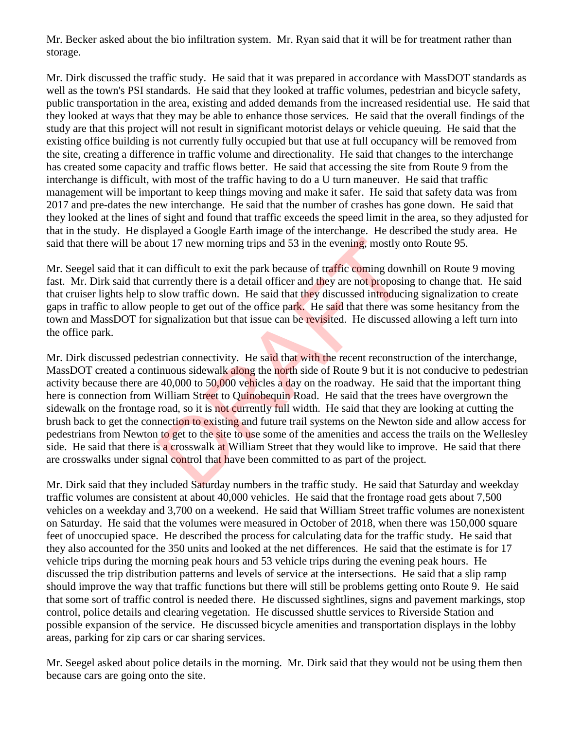Mr. Becker asked about the bio infiltration system. Mr. Ryan said that it will be for treatment rather than storage.

Mr. Dirk discussed the traffic study. He said that it was prepared in accordance with MassDOT standards as well as the town's PSI standards. He said that they looked at traffic volumes, pedestrian and bicycle safety, public transportation in the area, existing and added demands from the increased residential use. He said that they looked at ways that they may be able to enhance those services. He said that the overall findings of the study are that this project will not result in significant motorist delays or vehicle queuing. He said that the existing office building is not currently fully occupied but that use at full occupancy will be removed from the site, creating a difference in traffic volume and directionality. He said that changes to the interchange has created some capacity and traffic flows better. He said that accessing the site from Route 9 from the interchange is difficult, with most of the traffic having to do a U turn maneuver. He said that traffic management will be important to keep things moving and make it safer. He said that safety data was from 2017 and pre-dates the new interchange. He said that the number of crashes has gone down. He said that they looked at the lines of sight and found that traffic exceeds the speed limit in the area, so they adjusted for that in the study. He displayed a Google Earth image of the interchange. He described the study area. He said that there will be about 17 new morning trips and 53 in the evening, mostly onto Route 95.

Mr. Seegel said that it can difficult to exit the park because of traffic coming downhill on Route 9 moving fast. Mr. Dirk said that currently there is a detail officer and they are not proposing to change that. He said that cruiser lights help to slow traffic down. He said that they discussed introducing signalization to create gaps in traffic to allow people to get out of the office park. He said that there was some hesitancy from the town and MassDOT for signalization but that issue can be revisited. He discussed allowing a left turn into the office park.

Mr. Dirk discussed pedestrian connectivity. He said that with the recent reconstruction of the interchange, MassDOT created a continuous sidewalk along the north side of Route 9 but it is not conducive to pedestrian activity because there are 40,000 to 50,000 vehicles a day on the roadway. He said that the important thing here is connection from William Street to Quinobequin Road. He said that the trees have overgrown the sidewalk on the frontage road, so it is not currently full width. He said that they are looking at cutting the brush back to get the connection to existing and future trail systems on the Newton side and allow access for pedestrians from Newton to get to the site to use some of the amenities and access the trails on the Wellesley side. He said that there is a crosswalk at William Street that they would like to improve. He said that there are crosswalks under signal control that have been committed to as part of the project. but 17 new morning trips and 53 in the evening, mostly of the difficult to exit the park because of traffic coming down urrently there is a detail officer and they are not proposite slow traffic down. He said that they dis

Mr. Dirk said that they included Saturday numbers in the traffic study. He said that Saturday and weekday traffic volumes are consistent at about 40,000 vehicles. He said that the frontage road gets about 7,500 vehicles on a weekday and 3,700 on a weekend. He said that William Street traffic volumes are nonexistent on Saturday. He said that the volumes were measured in October of 2018, when there was 150,000 square feet of unoccupied space. He described the process for calculating data for the traffic study. He said that they also accounted for the 350 units and looked at the net differences. He said that the estimate is for 17 vehicle trips during the morning peak hours and 53 vehicle trips during the evening peak hours. He discussed the trip distribution patterns and levels of service at the intersections. He said that a slip ramp should improve the way that traffic functions but there will still be problems getting onto Route 9. He said that some sort of traffic control is needed there. He discussed sightlines, signs and pavement markings, stop control, police details and clearing vegetation. He discussed shuttle services to Riverside Station and possible expansion of the service. He discussed bicycle amenities and transportation displays in the lobby areas, parking for zip cars or car sharing services.

Mr. Seegel asked about police details in the morning. Mr. Dirk said that they would not be using them then because cars are going onto the site.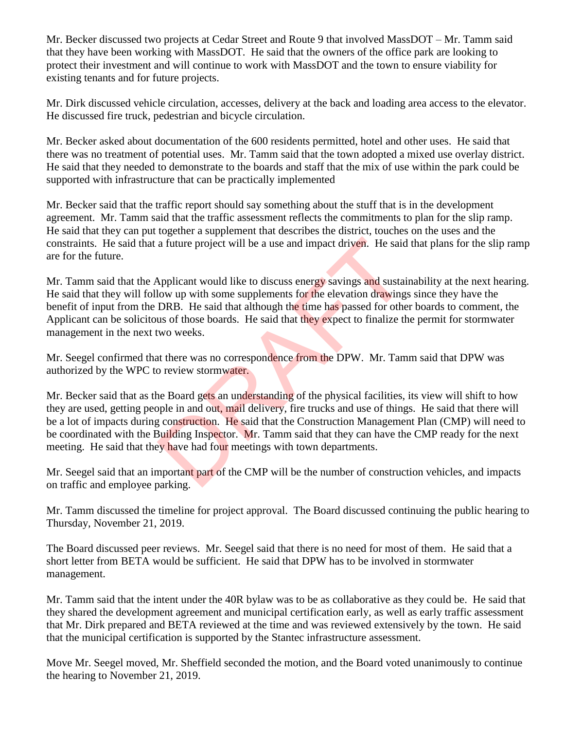Mr. Becker discussed two projects at Cedar Street and Route 9 that involved MassDOT – Mr. Tamm said that they have been working with MassDOT. He said that the owners of the office park are looking to protect their investment and will continue to work with MassDOT and the town to ensure viability for existing tenants and for future projects.

Mr. Dirk discussed vehicle circulation, accesses, delivery at the back and loading area access to the elevator. He discussed fire truck, pedestrian and bicycle circulation.

Mr. Becker asked about documentation of the 600 residents permitted, hotel and other uses. He said that there was no treatment of potential uses. Mr. Tamm said that the town adopted a mixed use overlay district. He said that they needed to demonstrate to the boards and staff that the mix of use within the park could be supported with infrastructure that can be practically implemented

Mr. Becker said that the traffic report should say something about the stuff that is in the development agreement. Mr. Tamm said that the traffic assessment reflects the commitments to plan for the slip ramp. He said that they can put together a supplement that describes the district, touches on the uses and the constraints. He said that a future project will be a use and impact driven. He said that plans for the slip ramp are for the future.

Mr. Tamm said that the Applicant would like to discuss energy savings and sustainability at the next hearing. He said that they will follow up with some supplements for the elevation drawings since they have the benefit of input from the DRB. He said that although the time has passed for other boards to comment, the Applicant can be solicitous of those boards. He said that they expect to finalize the permit for stormwater management in the next two weeks. a future project will be a use and impact driven. He said<br>Applicant would like to discuss energy savings and sustai<br>low up with some supplements for the elevation drawing:<br>DRB. He said that although the time has passed for

Mr. Seegel confirmed that there was no correspondence from the DPW. Mr. Tamm said that DPW was authorized by the WPC to review stormwater.

Mr. Becker said that as the Board gets an understanding of the physical facilities, its view will shift to how they are used, getting people in and out, mail delivery, fire trucks and use of things. He said that there will be a lot of impacts during construction. He said that the Construction Management Plan (CMP) will need to be coordinated with the Building Inspector. Mr. Tamm said that they can have the CMP ready for the next meeting. He said that they have had four meetings with town departments.

Mr. Seegel said that an important part of the CMP will be the number of construction vehicles, and impacts on traffic and employee parking.

Mr. Tamm discussed the timeline for project approval. The Board discussed continuing the public hearing to Thursday, November 21, 2019.

The Board discussed peer reviews. Mr. Seegel said that there is no need for most of them. He said that a short letter from BETA would be sufficient. He said that DPW has to be involved in stormwater management.

Mr. Tamm said that the intent under the 40R bylaw was to be as collaborative as they could be. He said that they shared the development agreement and municipal certification early, as well as early traffic assessment that Mr. Dirk prepared and BETA reviewed at the time and was reviewed extensively by the town. He said that the municipal certification is supported by the Stantec infrastructure assessment.

Move Mr. Seegel moved, Mr. Sheffield seconded the motion, and the Board voted unanimously to continue the hearing to November 21, 2019.